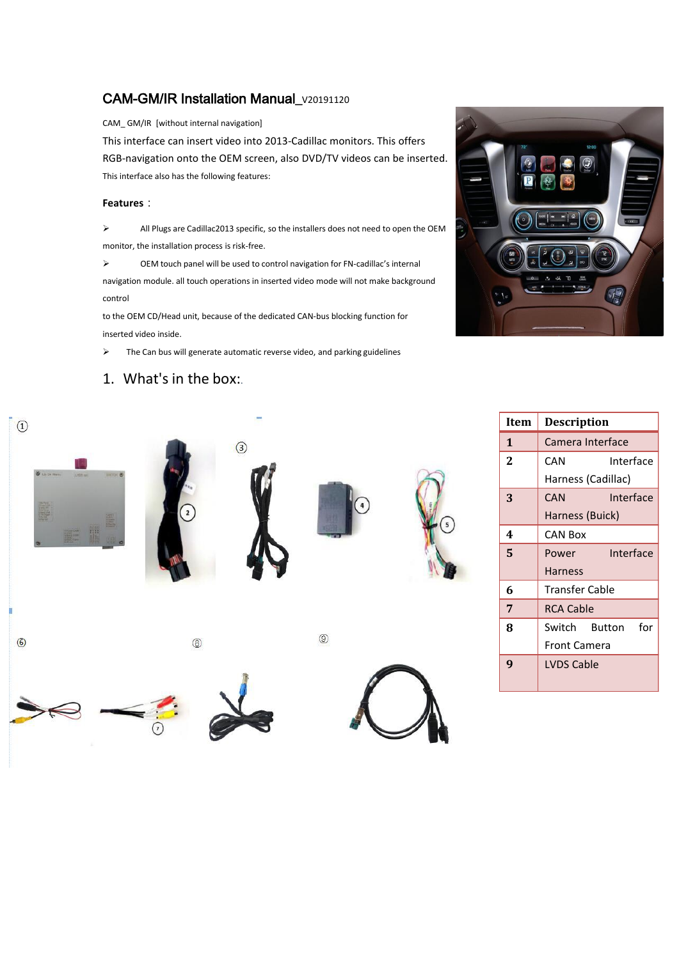# CAM-GM/IR Installation Manual\_v20191120

CAM\_GM/IR [without internal navigation]

This interface can insert video into 2013‐Cadillac monitors. This offers RGB‐navigation onto the OEM screen, also DVD/TV videos can be inserted.This interface also has the following features:

### **Features**:

 All Plugs are Cadillac2013 specific, so the installers does not need to open the OEM monitor, the installation process is risk‐free.

 OEM touch panel will be used to control navigation for FN‐cadillac's internal navigation module. all touch operations in inserted video mode will not make background control

to the OEM CD/Head unit, because of the dedicated CAN‐bus blocking function for inserted video inside.

 $\triangleright$  The Can bus will generate automatic reverse video, and parking guidelines

# 1. What's in the box:.



| $\Theta$<br><b>O</b> Listen Marin<br><b>AVRIT INT</b><br>$m = 6$<br><b>Form</b><br>E<br><b>THE SEA</b><br>ET- | $\circ$      | $\circledS$ | $\binom{4}{ }$ | 5 |
|---------------------------------------------------------------------------------------------------------------|--------------|-------------|----------------|---|
| Ì<br>$\circledcirc$                                                                                           | $^\circledR$ |             | $\circledS$    |   |
| 2                                                                                                             | ⊙            |             |                |   |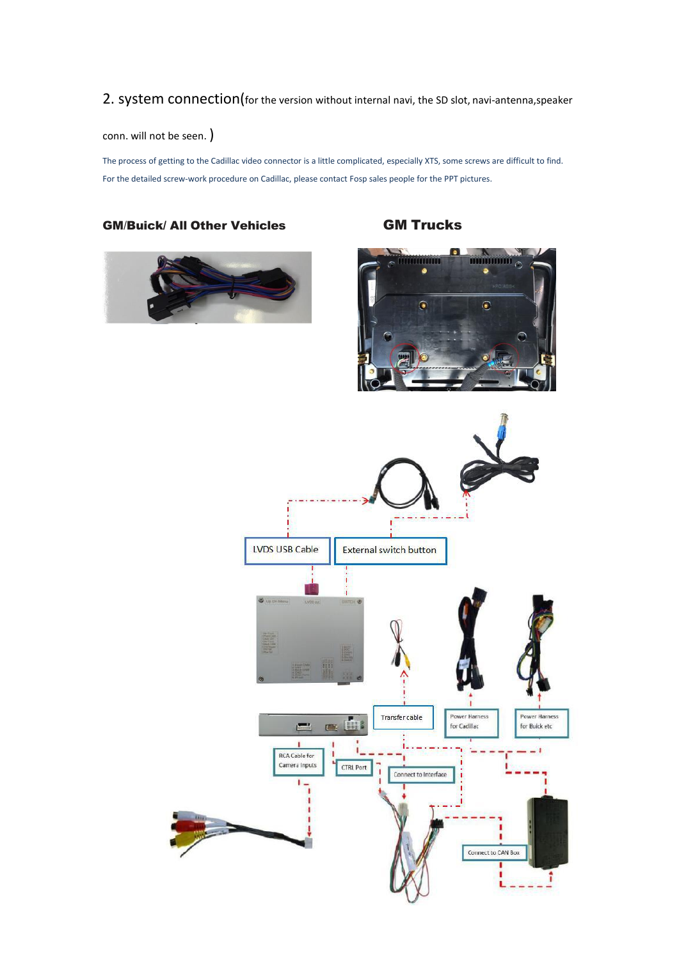# 2. system connection(for the version without internal navi, the SD slot, navi-antenna, speaker

conn. will not be seen. )

The process of getting to the Cadillac video connector is a little complicated, especially XTS, some screws are difficult to find. For the detailed screw-work procedure on Cadillac, please contact Fosp sales people for the PPT pictures.

## GM/Buick/ All Other Vehicles **GM Trucks**





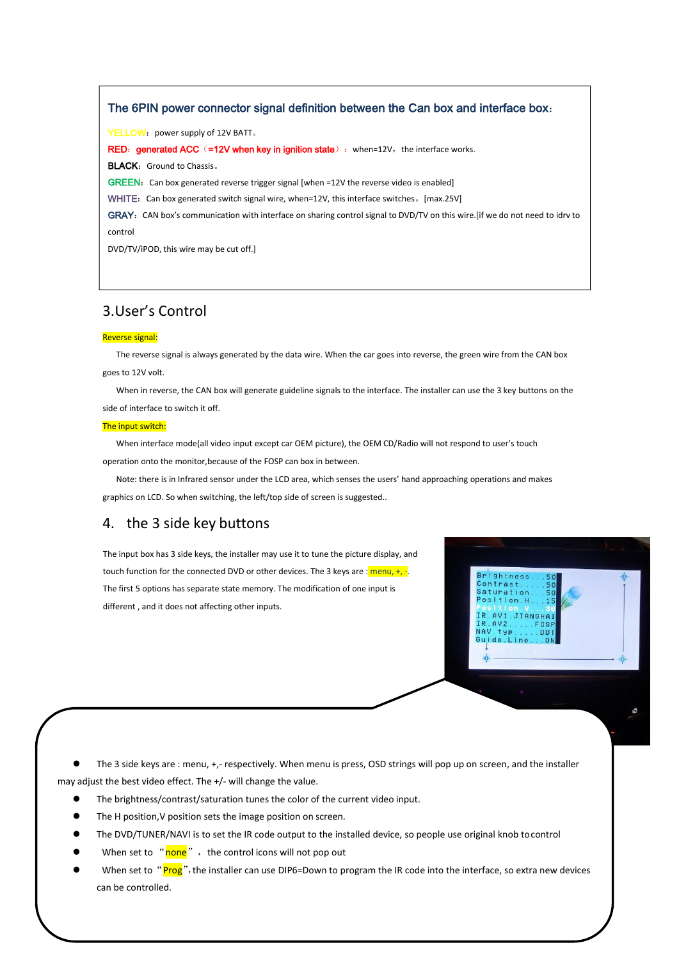### The 6PIN power connector signal definition between the Can box and interface box:

YELLOW: power supply of 12V BATT.

RED: generated ACC (=12V when key in ignition state): when=12V, the interface works.

BLACK: Ground to Chassis &

GREEN: Can box generated reverse trigger signal [when =12V the reverse video is enabled]

WHITE: Can box generated switch signal wire, when=12V, this interface switches。[max.25V]

GRAY: CAN box's communication with interface on sharing control signal to DVD/TV on this wire. [if we do not need to idrv to to 12V volt. control

DVD/TV/iPOD, this wire may be cut off.] The installer can use the 3 key buttons on the 3 key buttons on the 3 key buttons on the 3 key buttons on the 3 key buttons on the 3 key buttons on the 3 key buttons on the 3 key but

## 3.User's Control

## Reverse signal:

The reverse signal is always generated by the data wire. When the car goes into reverse, the green wire from the CAN box goes to 12V volt.

When in reverse, the CAN box will generate guideline signals to the interface. The installer can use the 3 key buttons on the side of interface to switch it off.<br>The input switch:

When interface mode(all video input except car OEM picture), the OEM CD/Radio will not respond to user's touch operation onto the monitor, because of the FOSP can box in between.

Note: there is in Infrared sensor under the LCD area, which senses the users' hand approaching operations and makes graphics on LCD. So when switching, the left/top side of screen is suggested..

> **ITANGHA DD**

> > $\Delta$

# 4. the 3 side key buttons

The input box has 3 side keys, the installer may use it to tune the picture display, and touch function for the connected DVD or other devices. The 3 keys are :  $\frac{1}{2}$  menu, +, -. The first 5 options has separate state memory. The modification of one input is different , and it does not affecting other inputs.

The 3 side keys are : menu, +,- respectively. When menu is press, OSD strings will pop up on screen, and the installer may adjust the best video effect. The +/- will change the value.

- The brightness/contrast/saturation tunes the color of the current video input.
- The H position,V position sets the image position on screen.
- The DVD/TUNER/NAVI is to set the IR code output to the installed device, so people use original knob tocontrol
- When set to " $\frac{\text{none}}{\text{none}}$ ", the control icons will not pop out
- When set to "Prog", the installer can use DIP6=Down to program the IR code into the interface, so extra new devices can be controlled.